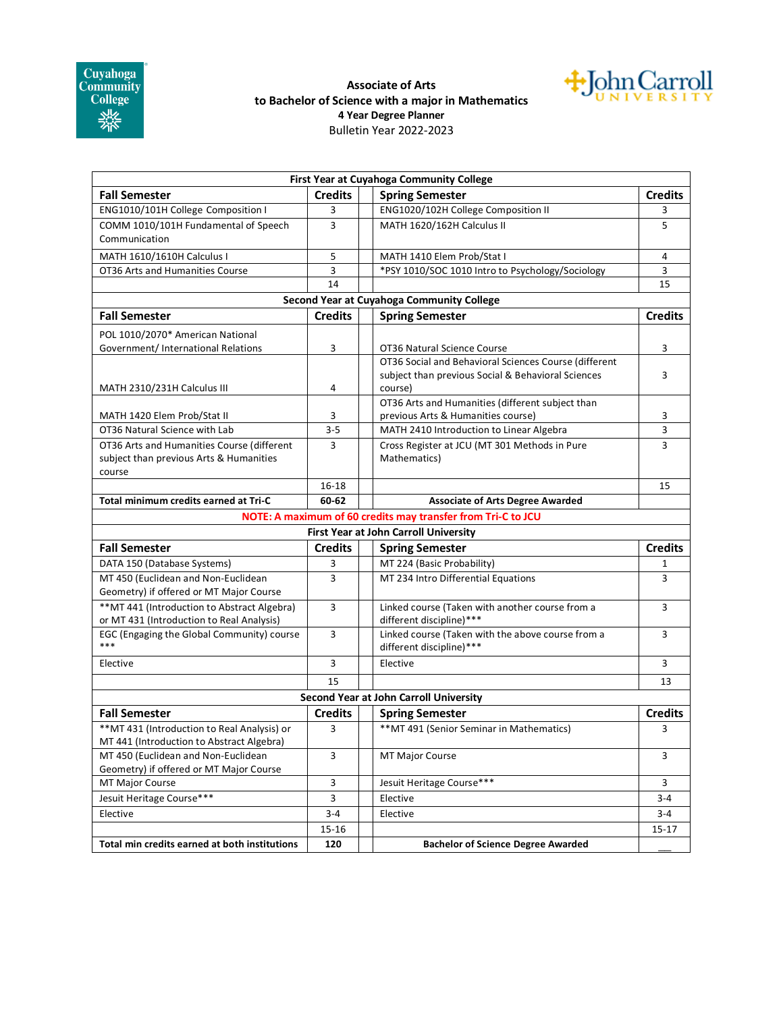

## **Associate of Arts to Bachelor of Science with a major in Mathematics 4 Year Degree Planner** Bulletin Year 2022-2023



|                                                                                           |                | First Year at Cuyahoga Community College                                      |                |
|-------------------------------------------------------------------------------------------|----------------|-------------------------------------------------------------------------------|----------------|
| <b>Fall Semester</b>                                                                      | <b>Credits</b> | <b>Spring Semester</b>                                                        | <b>Credits</b> |
| ENG1010/101H College Composition I                                                        | 3              | ENG1020/102H College Composition II                                           | 3              |
| COMM 1010/101H Fundamental of Speech<br>Communication                                     | 3              | MATH 1620/162H Calculus II                                                    | 5              |
| MATH 1610/1610H Calculus I                                                                | 5              | MATH 1410 Elem Prob/Stat I                                                    | 4              |
| OT36 Arts and Humanities Course                                                           | 3              | *PSY 1010/SOC 1010 Intro to Psychology/Sociology                              | 3              |
|                                                                                           | 14             |                                                                               | 15             |
|                                                                                           |                | Second Year at Cuyahoga Community College                                     |                |
| <b>Fall Semester</b>                                                                      | <b>Credits</b> | <b>Spring Semester</b>                                                        | <b>Credits</b> |
| POL 1010/2070* American National                                                          |                |                                                                               |                |
| Government/International Relations                                                        | 3              | OT36 Natural Science Course                                                   | 3              |
|                                                                                           |                | OT36 Social and Behavioral Sciences Course (different                         |                |
|                                                                                           |                | subject than previous Social & Behavioral Sciences                            | 3              |
| MATH 2310/231H Calculus III                                                               | 4              | course)                                                                       |                |
|                                                                                           |                | OT36 Arts and Humanities (different subject than                              |                |
| MATH 1420 Elem Prob/Stat II                                                               | 3              | previous Arts & Humanities course)                                            | 3              |
| OT36 Natural Science with Lab                                                             | $3 - 5$        | MATH 2410 Introduction to Linear Algebra                                      | 3              |
| OT36 Arts and Humanities Course (different                                                | 3              | Cross Register at JCU (MT 301 Methods in Pure                                 | 3              |
| subject than previous Arts & Humanities                                                   |                | Mathematics)                                                                  |                |
| course                                                                                    |                |                                                                               |                |
|                                                                                           | 16-18          |                                                                               | 15             |
| Total minimum credits earned at Tri-C                                                     | 60-62          | <b>Associate of Arts Degree Awarded</b>                                       |                |
|                                                                                           |                | NOTE: A maximum of 60 credits may transfer from Tri-C to JCU                  |                |
|                                                                                           |                | First Year at John Carroll University                                         |                |
| <b>Fall Semester</b>                                                                      | <b>Credits</b> | <b>Spring Semester</b>                                                        | <b>Credits</b> |
| DATA 150 (Database Systems)                                                               | 3              | MT 224 (Basic Probability)                                                    | 1              |
| MT 450 (Euclidean and Non-Euclidean<br>Geometry) if offered or MT Major Course            | 3              | MT 234 Intro Differential Equations                                           | 3              |
| ** MT 441 (Introduction to Abstract Algebra)<br>or MT 431 (Introduction to Real Analysis) | 3              | Linked course (Taken with another course from a<br>different discipline)***   | 3              |
| EGC (Engaging the Global Community) course<br>***                                         | 3              | Linked course (Taken with the above course from a<br>different discipline)*** | 3              |
| Elective                                                                                  | 3              | Elective                                                                      | 3              |
|                                                                                           | 15             |                                                                               | 13             |
|                                                                                           |                | <b>Second Year at John Carroll University</b>                                 |                |
| <b>Fall Semester</b>                                                                      | <b>Credits</b> | <b>Spring Semester</b>                                                        | <b>Credits</b> |
| ** MT 431 (Introduction to Real Analysis) or                                              | 3              | ** MT 491 (Senior Seminar in Mathematics)                                     | 3              |
| MT 441 (Introduction to Abstract Algebra)                                                 |                |                                                                               |                |
| MT 450 (Euclidean and Non-Euclidean                                                       | 3              | <b>MT Major Course</b>                                                        | 3              |
| Geometry) if offered or MT Major Course                                                   |                |                                                                               |                |
| MT Major Course                                                                           | 3              | Jesuit Heritage Course***                                                     | 3              |
| Jesuit Heritage Course***                                                                 | 3              | Elective                                                                      | $3 - 4$        |
| Elective                                                                                  | $3 - 4$        | Elective                                                                      | $3 - 4$        |
|                                                                                           | 15-16          |                                                                               | 15-17          |
|                                                                                           |                |                                                                               |                |